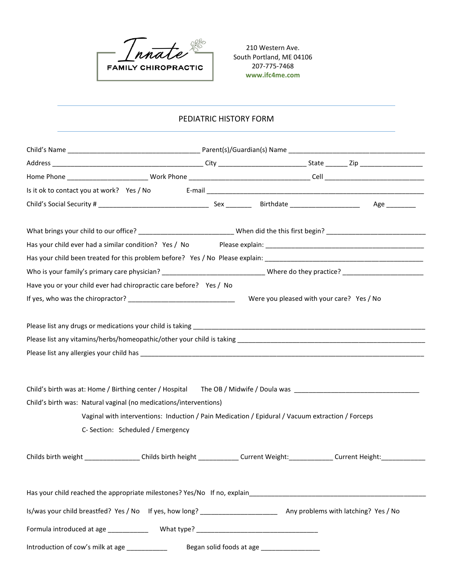

210 Western Ave. South Portland, ME 04106 207-775-7468 **www.ifc4me.com**

## PEDIATRIC HISTORY FORM

| Have you or your child ever had chiropractic care before? Yes / No                                                                                                                  |  |                                                                                                  |  |  |
|-------------------------------------------------------------------------------------------------------------------------------------------------------------------------------------|--|--------------------------------------------------------------------------------------------------|--|--|
|                                                                                                                                                                                     |  | Were you pleased with your care? Yes / No                                                        |  |  |
|                                                                                                                                                                                     |  |                                                                                                  |  |  |
| Child's birth was at: Home / Birthing center / Hospital The OB / Midwife / Doula was _________________________<br>Child's birth was: Natural vaginal (no medications/interventions) |  |                                                                                                  |  |  |
|                                                                                                                                                                                     |  | Vaginal with interventions: Induction / Pain Medication / Epidural / Vacuum extraction / Forceps |  |  |
| C- Section: Scheduled / Emergency                                                                                                                                                   |  |                                                                                                  |  |  |
| Childs birth weight _________________Childs birth height ______________Current Weight: _____________Current Height: __________________                                              |  |                                                                                                  |  |  |
| Has your child reached the appropriate milestones? Yes/No If no, explain                                                                                                            |  |                                                                                                  |  |  |
| Is/was your child breastfed? Yes / No If yes, how long? _________________________ Any problems with latching? Yes / No                                                              |  |                                                                                                  |  |  |
|                                                                                                                                                                                     |  |                                                                                                  |  |  |
| Introduction of cow's milk at age ____________                                                                                                                                      |  | Began solid foods at age ___________________                                                     |  |  |